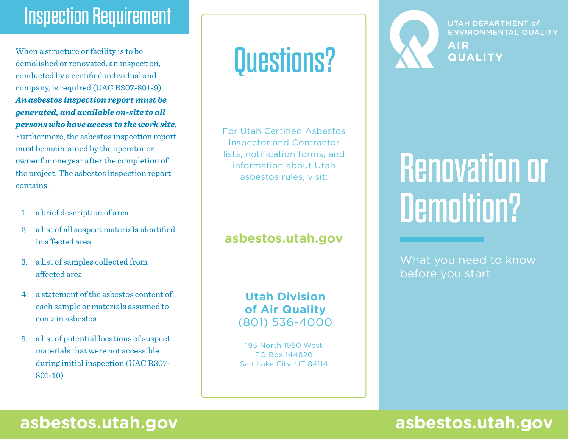# Inspection Requirement

When a structure or facility is to be demolished or renovated, an inspection, conducted by a certified individual and company, is required (UAC R307-801-9). *An asbestos inspection report must be generated, and available on-site to all persons who have access to the work site.* Furthermore, the asbestos inspection report must be maintained by the operator or owner for one year after the completion of the project. The asbestos inspection report contains:

- 1. a brief description of area
- 2. a list of all suspect materials identified in affected area
- 3. a list of samples collected from affected area
- 4. a statement of the asbestos content of each sample or materials assumed to contain asbestos
- 5. a list of potential locations of suspect materials that were not accessible during initial inspection (UAC R307- 801-10)

# Questions?

For Utah Certified Asbestos Inspector and Contractor lists, notification forms, and information about Utah asbestos rules, visit:

### **<asbestos.utah.gov>**

**Utah Division of Air Quality** (801) 536-4000

195 North 1950 West PO Box 144820 Salt Lake City, UT 84114



**UTAH DEPARTMENT of ENVIRONMENTAL QUALITY AIR QUALITY** 

# Renovation or Demoltion?

What you need to know before you start

## **<asbestos.utah.gov> <asbestos.utah.gov>**